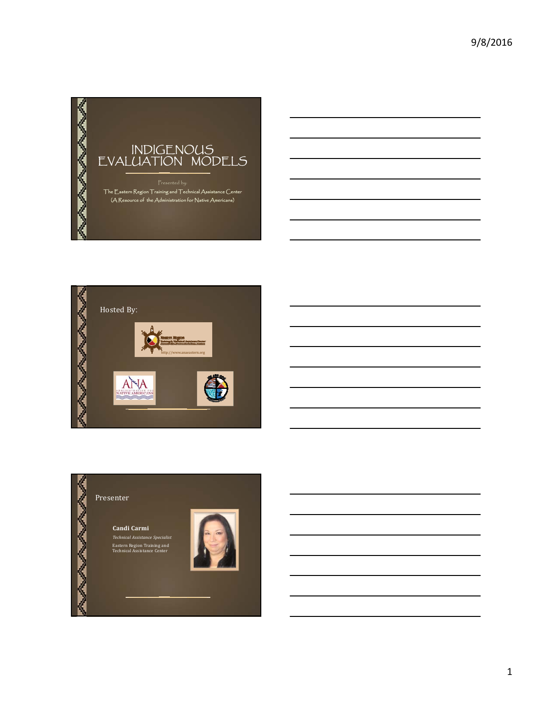





1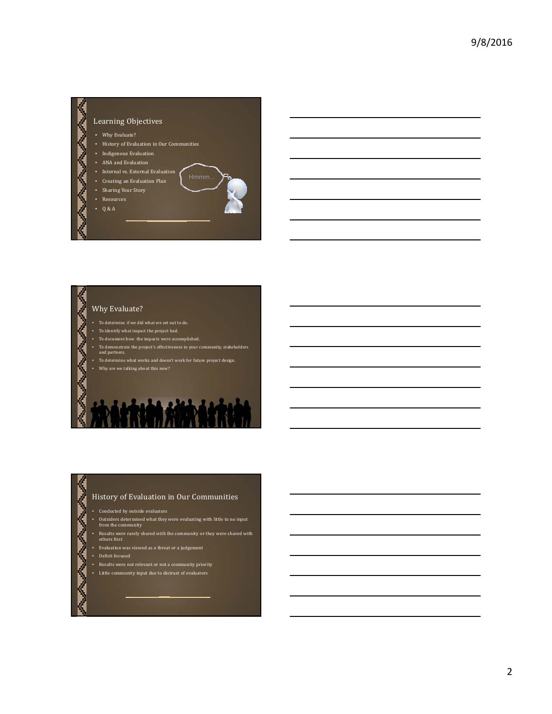

# Why Evaluate?

- $\bullet$  To determine if we did what we set out to do.
- $\bullet$  To identify what impact the project had.
- To document how the impacts were accomplished.
- To demonstrate the project's effectiveness to your community, stakeholders and partners. To determine what works and doesn't work for future project design.
- Why are we talking about this now?

## History of Evaluation in Our Communities

- $\bullet$   $\;$  Conducted by outside evaluators
- Outsiders determined what they were evaluating with little to no input from the community
- Results were rarely shared with the community or they were shared with others first
- 
- Evaluation was viewed as a threat or a judgement
- Deficit focused

Ž

- Results were not relevant or not a community priority
- Little community input due to distrust of evaluators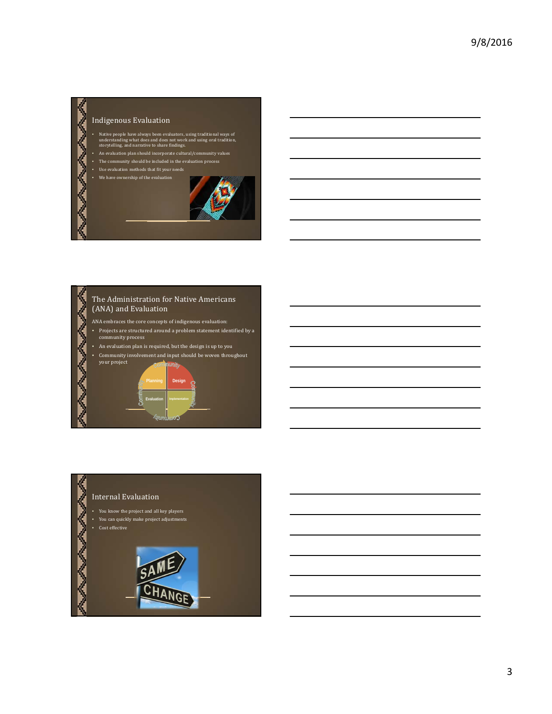## Indigenous Evaluation

- Native people have always been evaluators, using traditional ways of understanding what does and does not work and using oral tradition,<br>storytelling, and narrative to share findings.
- An evaluation plan should incorporate cultural/community values
- The community should be included in the evaluation process
- Use evaluation methods that fit your needs
- We have ownership of the evaluation



# The Administration for Native Americans (ANA) and Evaluation ANA embraces the core concepts of indigenous evaluation: • Projects are structured around a problem statement identified by a<br>community process An evaluation plan is required, but the design is up to you

• Community involvement and input should be woven throughout your project

**Evaluation Implementation**

**Design**

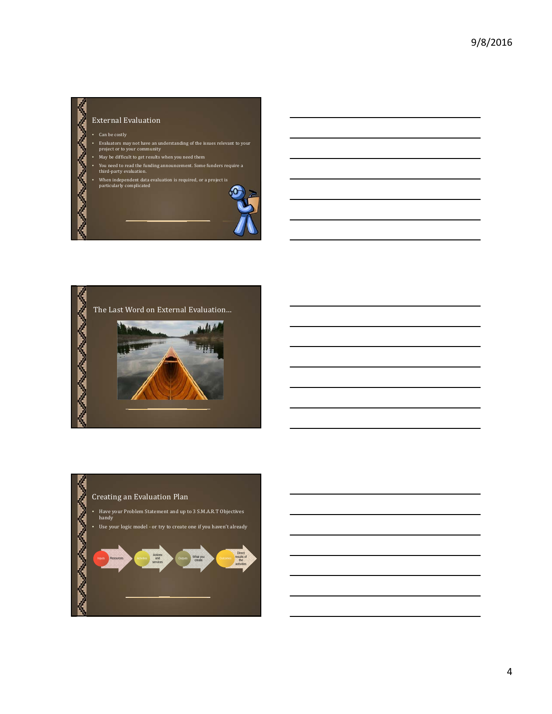# External Evaluation -  $\,$  Can be costly • Evaluators may not have an understanding of the issues relevant to your<br>project or to your community • May be difficult to get results when you need them • You need to read the funding announcement. Some funders require a third-party evaluation. • When independent data evaluation is required, or a project is particularly complicated 60-





4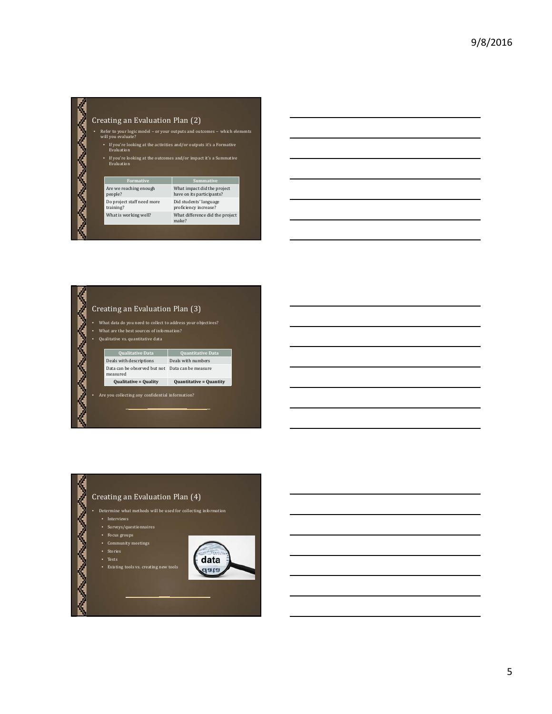|   |                                                                                     | Creating an Evaluation Plan (2)                                                                 |                                                          |  |  |
|---|-------------------------------------------------------------------------------------|-------------------------------------------------------------------------------------------------|----------------------------------------------------------|--|--|
| ٠ |                                                                                     | Refer to your logic model - or your outputs and outcomes - which elements<br>will you evaluate? |                                                          |  |  |
|   |                                                                                     | If you're looking at the activities and/or outputs it's a Formative<br>٠<br>Evaluation          |                                                          |  |  |
|   | If you're looking at the outcomes and/or impact it's a Summative<br>٠<br>Evaluation |                                                                                                 |                                                          |  |  |
|   |                                                                                     |                                                                                                 |                                                          |  |  |
|   |                                                                                     | <b>Formative</b>                                                                                | <b>Summative</b>                                         |  |  |
|   |                                                                                     | Are we reaching enough<br>people?                                                               | What impact did the project<br>have on its participants? |  |  |
|   |                                                                                     | Do project staff need more<br>training?                                                         | Did students' language<br>proficiency increase?          |  |  |

# Creating an Evaluation Plan (3)

- What data do you need to collect to address your objectives?
- **AND MANAGERIA** • What are the best sources of information?
	- Qualitative vs. quantitative data

**Qualitative Data Quantitative Data** measured

Deals with descriptions Deals with numbers Data can be observed but not Data can be measure

**Qualitative = Quality Quantitative = Quantity**

Are you collecting any confidential information?

# **SAVANNA** Creating an Evaluation Plan (4) - Determine what methods will be used for collecting information • Surveys/questionnaires • Community meetings • Stories data • Existing tools vs. creating new tools data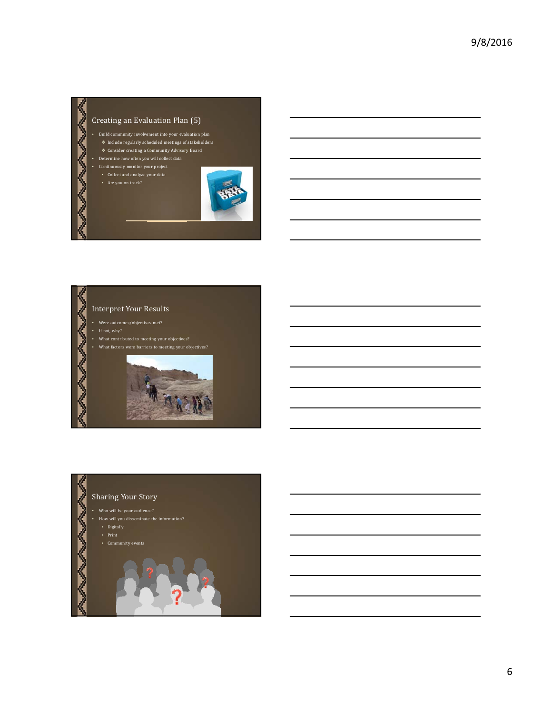



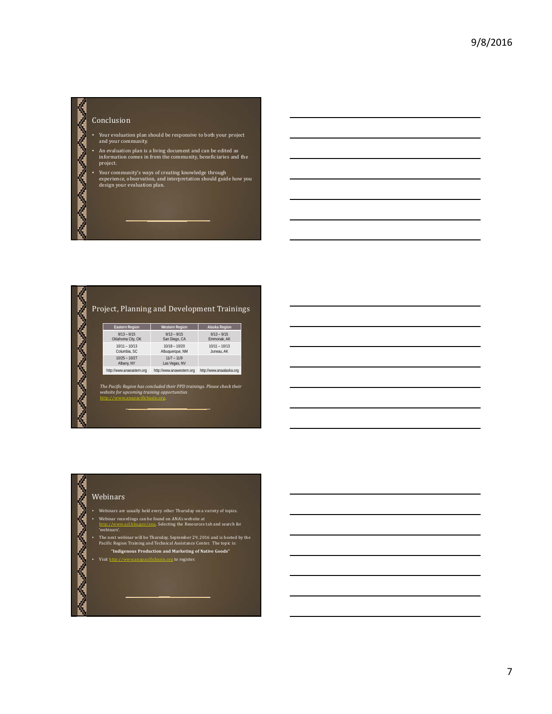# 》 Conclusion WWW

- Your evaluation plan should be responsive to both your project and your community.
- An evaluation plan is a living document and can be edited as<br>information comes in from the community, beneficiaries and the project.
- 
- Your community's ways of creating knowledge through<br>experience, observation, and interpretation should guide how you<br>design your evaluation plan.

# Project, Planning and Development Trainings

| <b>Eastern Region</b>              | <b>Western Region</b>              | Alaska Region                 |
|------------------------------------|------------------------------------|-------------------------------|
| $9/13 - 9/15$<br>Oklahoma City, OK | $9/13 - 9/15$<br>San Diego, CA     | $9/13 - 9/15$<br>Emmonak, AK  |
| $10/11 - 10/13$<br>Columbia, SC    | $10/18 - 10/20$<br>Albuguergue, NM | $10/11 - 10/13$<br>Juneau, AK |
| $10/25 - 10/27$<br>Albany, NY      | $11/7 - 11/9$<br>Las Vegas, NV     |                               |
| http://www.anaeastern.org          | http://www.anawestern.org          | http://www.anaalaska.org      |

The Pacific Region has concluded their PPD trainings. Please check their<br>website for upcoming training opportunities<br>http://www.anapacificbasin.org.

#### Webinars

**ANDRO PROPRIATION** 

AVAVAVAV

- Webinars are usually held every other Thursday on a variety of topics.
- Webinar recordings can be found on ANA's website at<br>http://www.acf.hhs.gov/ana. Selecting the Resources tab and search for http://ww<br>'webinars'.
- The next webinar will be Thursday, September 29, 2016 and is hosted by the Pacific Region Training and Technical Assistance Center. The topic is:
	- **"Indigenous Production and Marketing of Native Goods"**
- Visit http://www.anapacificbasin.org to register.

7